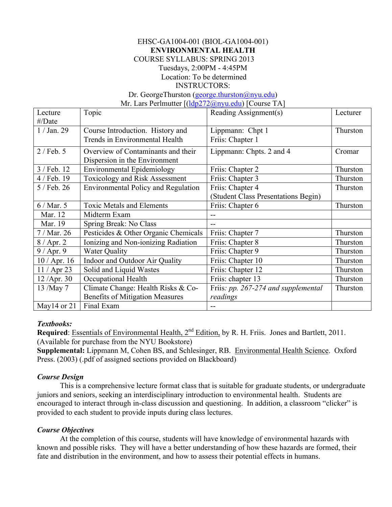## EHSC-GA1004-001 (BIOL-GA1004-001) **ENVIRONMENTAL HEALTH** COURSE SYLLABUS: SPRING 2013 Tuesdays, 2:00PM - 4:45PM Location: To be determined

#### INSTRUCTORS:

Dr. GeorgeThurston (george.thurston@nyu.edu)

Mr. Lars Perlmutter [(ldp272@nyu.edu) [Course TA]

| Lecture          | Topic                                      | Reading Assignment(s)               | Lecturer |
|------------------|--------------------------------------------|-------------------------------------|----------|
| $\#/Date$        |                                            |                                     |          |
| $1/$ Jan. 29     | Course Introduction. History and           | Lippmann: Chpt 1                    | Thurston |
|                  | Trends in Environmental Health             | Friis: Chapter 1                    |          |
| $2$ / Feb. 5     | Overview of Contaminants and their         | Lippmann: Chpts. 2 and 4            | Cromar   |
|                  | Dispersion in the Environment              |                                     |          |
| 3 / Feb. 12      | Environmental Epidemiology                 | Friis: Chapter 2                    | Thurston |
| 4 / Feb. 19      | Toxicology and Risk Assessment             | Friis: Chapter 3                    | Thurston |
| 5 / Feb. 26      | <b>Environmental Policy and Regulation</b> | Friis: Chapter 4                    | Thurston |
|                  |                                            | (Student Class Presentations Begin) |          |
| 6/Mar. 5         | <b>Toxic Metals and Elements</b>           | Friis: Chapter 6                    | Thurston |
| Mar. 12          | Midterm Exam                               |                                     |          |
| Mar. 19          | Spring Break: No Class                     |                                     |          |
| $7/$ Mar. 26     | Pesticides & Other Organic Chemicals       | Friis: Chapter 7                    | Thurston |
| $8/$ Apr. 2      | Ionizing and Non-ionizing Radiation        | Friis: Chapter 8                    | Thurston |
| $9/$ Apr. 9      | <b>Water Quality</b>                       | Friis: Chapter 9                    | Thurston |
| $10 /$ Apr. 16   | Indoor and Outdoor Air Quality             | Friis: Chapter 10                   | Thurston |
| $11 /$ Apr 23    | Solid and Liquid Wastes                    | Friis: Chapter 12                   | Thurston |
| 12 / Apr. 30     | Occupational Health                        | Friis: chapter 13                   | Thurston |
| 13 /May 7        | Climate Change: Health Risks & Co-         | Friis: pp. 267-274 and supplemental | Thurston |
|                  | <b>Benefits of Mitigation Measures</b>     | readings                            |          |
| May $14$ or $21$ | Final Exam                                 |                                     |          |

#### *Textbooks:*

Required: **Essentials of Environmental Health, 2<sup>nd</sup> Edition**, by R. H. Friis. Jones and Bartlett, 2011. (Available for purchase from the NYU Bookstore)

**Supplemental:** Lippmann M, Cohen BS, and Schlesinger, RB. Environmental Health Science. Oxford Press. (2003) (.pdf of assigned sections provided on Blackboard)

### *Course Design*

This is a comprehensive lecture format class that is suitable for graduate students, or undergraduate juniors and seniors, seeking an interdisciplinary introduction to environmental health. Students are encouraged to interact through in-class discussion and questioning. In addition, a classroom "clicker" is provided to each student to provide inputs during class lectures.

### *Course Objectives*

At the completion of this course, students will have knowledge of environmental hazards with known and possible risks. They will have a better understanding of how these hazards are formed, their fate and distribution in the environment, and how to assess their potential effects in humans.